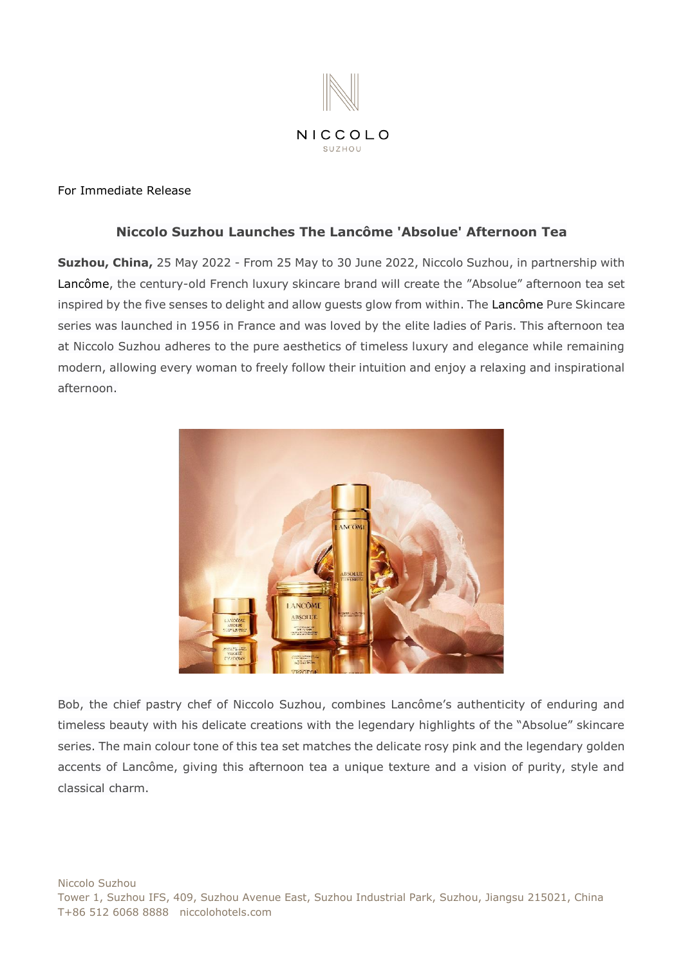

## For Immediate Release

# **Niccolo Suzhou Launches The Lancôme 'Absolue' Afternoon Tea**

**Suzhou, China,** 25 May 2022 - From 25 May to 30 June 2022, Niccolo Suzhou, in partnership with Lancôme, the century-old French luxury skincare brand will create the "Absolue" afternoon tea set inspired by the five senses to delight and allow guests glow from within. The Lancôme Pure Skincare series was launched in 1956 in France and was loved by the elite ladies of Paris. This afternoon tea at Niccolo Suzhou adheres to the pure aesthetics of timeless luxury and elegance while remaining modern, allowing every woman to freely follow their intuition and enjoy a relaxing and inspirational afternoon.



Bob, the chief pastry chef of Niccolo Suzhou, combines Lancôme's authenticity of enduring and timeless beauty with his delicate creations with the legendary highlights of the "Absolue" skincare series. The main colour tone of this tea set matches the delicate rosy pink and the legendary golden accents of Lancôme, giving this afternoon tea a unique texture and a vision of purity, style and classical charm.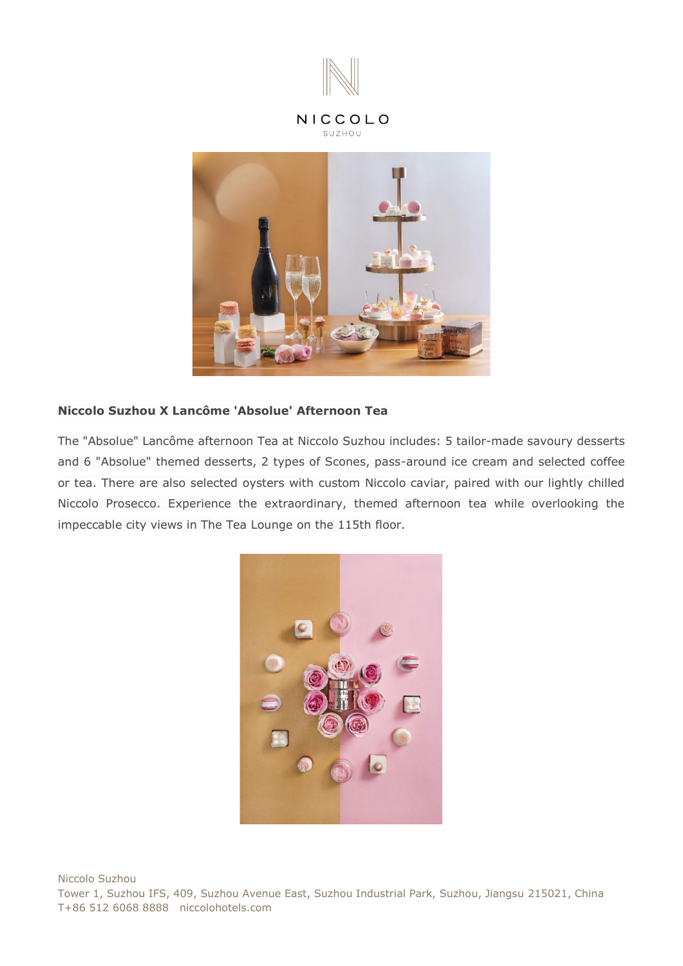

## NICCOLO SUZHOU



## **Niccolo Suzhou X Lancôme 'Absolue' Afternoon Tea**

The "Absolue" Lancôme afternoon Tea at Niccolo Suzhou includes: 5 tailor-made savoury desserts and 6 "Absolue" themed desserts, 2 types of Scones, pass-around ice cream and selected coffee or tea. There are also selected oysters with custom Niccolo caviar, paired with our lightly chilled Niccolo Prosecco. Experience the extraordinary, themed afternoon tea while overlooking the impeccable city views in The Tea Lounge on the 115th floor.

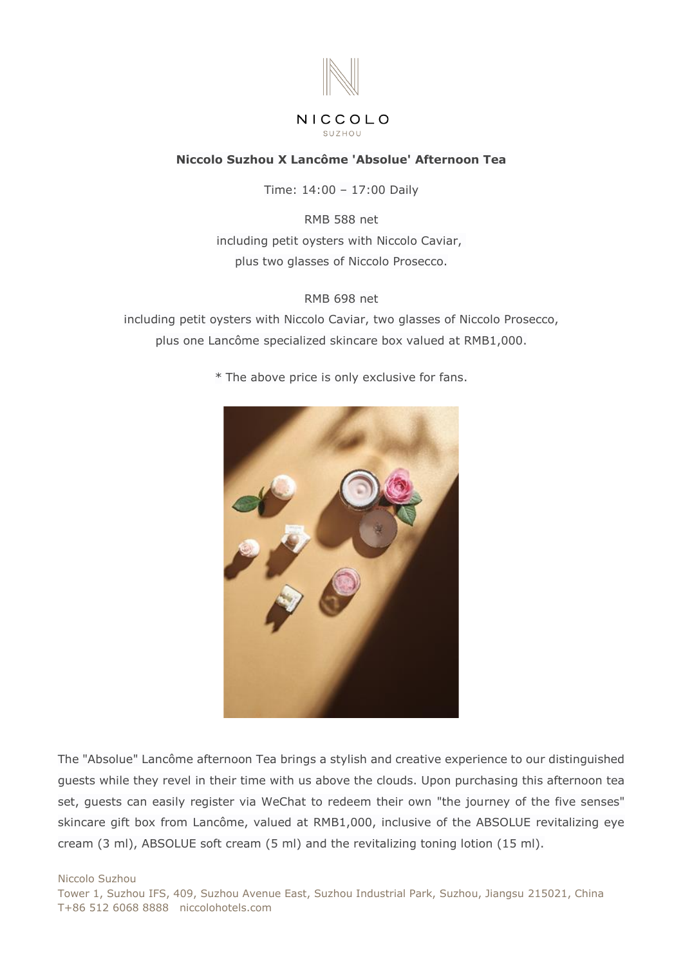

## NICCOLO SUZHOU

# **Niccolo Suzhou X Lancôme 'Absolue' Afternoon Tea**

Time: 14:00 – 17:00 Daily

RMB 588 net including petit oysters with Niccolo Caviar, plus two glasses of Niccolo Prosecco.

## RMB 698 net

including petit oysters with Niccolo Caviar, two glasses of Niccolo Prosecco, plus one Lancôme specialized skincare box valued at RMB1,000.

\* The above price is only exclusive for fans.



The "Absolue" Lancôme afternoon Tea brings a stylish and creative experience to our distinguished guests while they revel in their time with us above the clouds. Upon purchasing this afternoon tea set, guests can easily register via WeChat to redeem their own "the journey of the five senses" skincare gift box from Lancôme, valued at RMB1,000, inclusive of the ABSOLUE revitalizing eye cream (3 ml), ABSOLUE soft cream (5 ml) and the revitalizing toning lotion (15 ml).

Niccolo Suzhou Tower 1, Suzhou IFS, 409, Suzhou Avenue East, Suzhou Industrial Park, Suzhou, Jiangsu 215021, China T+86 512 6068 8888 niccolohotels.com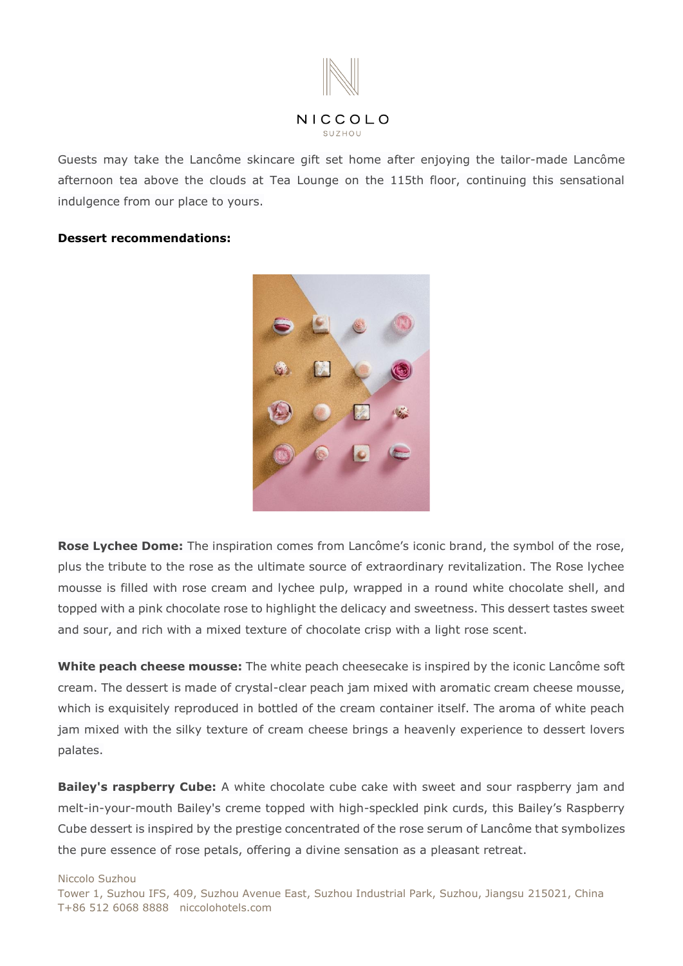

Guests may take the Lancôme skincare gift set home after enjoying the tailor-made Lancôme afternoon tea above the clouds at Tea Lounge on the 115th floor, continuing this sensational indulgence from our place to yours.

### **Dessert recommendations:**



**Rose Lychee Dome:** The inspiration comes from Lancôme's iconic brand, the symbol of the rose, plus the tribute to the rose as the ultimate source of extraordinary revitalization. The Rose lychee mousse is filled with rose cream and lychee pulp, wrapped in a round white chocolate shell, and topped with a pink chocolate rose to highlight the delicacy and sweetness. This dessert tastes sweet and sour, and rich with a mixed texture of chocolate crisp with a light rose scent.

**White peach cheese mousse:** The white peach cheesecake is inspired by the iconic Lancôme soft cream. The dessert is made of crystal-clear peach jam mixed with aromatic cream cheese mousse, which is exquisitely reproduced in bottled of the cream container itself. The aroma of white peach jam mixed with the silky texture of cream cheese brings a heavenly experience to dessert lovers palates.

**Bailey's raspberry Cube:** A white chocolate cube cake with sweet and sour raspberry jam and melt-in-your-mouth Bailey's creme topped with high-speckled pink curds, this Bailey's Raspberry Cube dessert is inspired by the prestige concentrated of the rose serum of Lancôme that symbolizes the pure essence of rose petals, offering a divine sensation as a pleasant retreat.

#### Niccolo Suzhou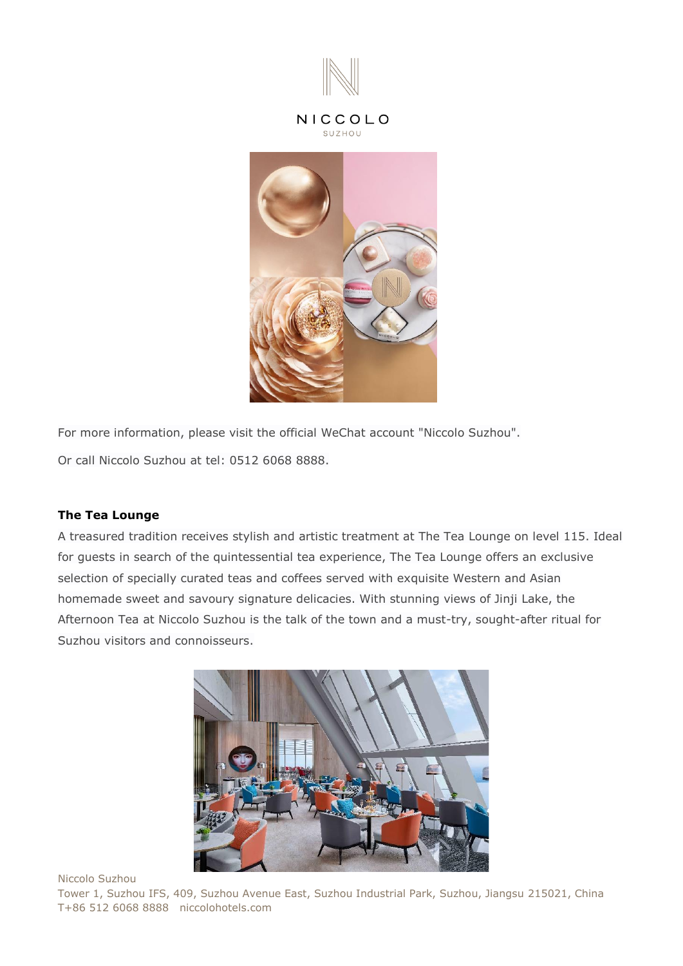

## NICCOLO SUZHOU



For more information, please visit the official WeChat account "Niccolo Suzhou". Or call Niccolo Suzhou at [tel: 0512 6068 8888.](tel:%200512%206068%208888)

## **The Tea Lounge**

A treasured tradition receives stylish and artistic treatment at The Tea Lounge on level 115. Ideal for guests in search of the quintessential tea experience, The Tea Lounge offers an exclusive selection of specially curated teas and coffees served with exquisite Western and Asian homemade sweet and savoury signature delicacies. With stunning views of Jinji Lake, the Afternoon Tea at Niccolo Suzhou is the talk of the town and a must-try, sought-after ritual for Suzhou visitors and connoisseurs.



Niccolo Suzhou

Tower 1, Suzhou IFS, 409, Suzhou Avenue East, Suzhou Industrial Park, Suzhou, Jiangsu 215021, China T+86 512 6068 8888 niccolohotels.com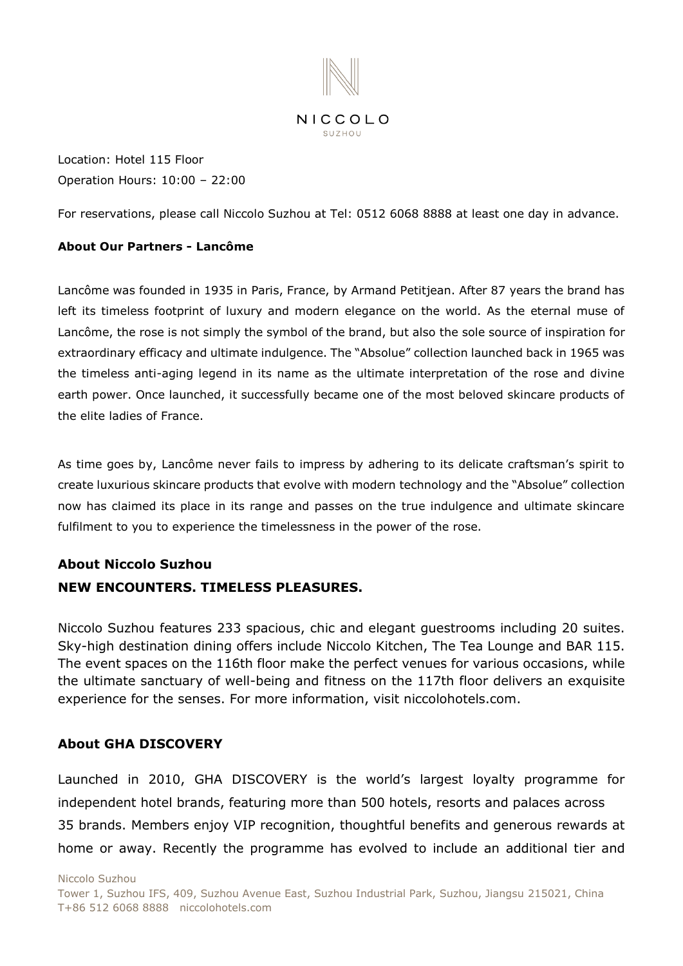

Location: Hotel 115 Floor Operation Hours: 10:00 – 22:00

For reservations, please call Niccolo Suzhou at [Tel: 0512 6068 8888](tel:%200512%206068%208888) at least one day in advance.

# **About Our Partners - Lancôme**

Lancôme was founded in 1935 in Paris, France, by Armand Petitjean. After 87 years the brand has left its timeless footprint of luxury and modern elegance on the world. As the eternal muse of Lancôme, the rose is not simply the symbol of the brand, but also the sole source of inspiration for extraordinary efficacy and ultimate indulgence. The "Absolue" collection launched back in 1965 was the timeless anti-aging legend in its name as the ultimate interpretation of the rose and divine earth power. Once launched, it successfully became one of the most beloved skincare products of the elite ladies of France.

As time goes by, Lancôme never fails to impress by adhering to its delicate craftsman's spirit to create luxurious skincare products that evolve with modern technology and the "Absolue" collection now has claimed its place in its range and passes on the true indulgence and ultimate skincare fulfilment to you to experience the timelessness in the power of the rose.

# **About Niccolo Suzhou**

# **NEW ENCOUNTERS. TIMELESS PLEASURES.**

Niccolo Suzhou features 233 spacious, chic and elegant guestrooms including 20 suites. Sky-high destination dining offers include Niccolo Kitchen, The Tea Lounge and BAR 115. The event spaces on the 116th floor make the perfect venues for various occasions, while the ultimate sanctuary of well-being and fitness on the 117th floor delivers an exquisite experience for the senses. For more information, visit [niccolohotels.com.](file:///I:/4%20-%20MARCOM/3.%20PR/3.%20Press%20Release/2021.4.16%20approve/Niccolo%20Suzhou%20features%20233%20spacious,%20chic%20and%20elegant%20guestrooms%20including%2020%20suites.%20Sky-high%20destination%20dining%20offers%20include%20Niccolo%20Kitchen,%20The%20Tea%20Lounge%20and%20Bar%20115.%20The%20event%20spaces%20on%20the%20116th%20floor%20make%20the%20perfect%20venues%20for%20various%20occasions,%20while%20the%20ultimate%20sanctuary%20of%20well-being%20and%20fitness%20on%20the%20117th%20floor%20delivers%20an%20exquisite%20experience%20for%20the%20senses.%20For%20further%20information,%20please%20contact%20your%20travel%20professional%20or%20visit%20niccolohotels.com.)

# **About GHA DISCOVERY**

Launched in 2010, GHA DISCOVERY is the world's largest loyalty programme for independent hotel brands, featuring more than 500 hotels, resorts and palaces across 35 brands. Members enjoy VIP recognition, thoughtful benefits and generous rewards at home or away. Recently the programme has evolved to include an additional tier and